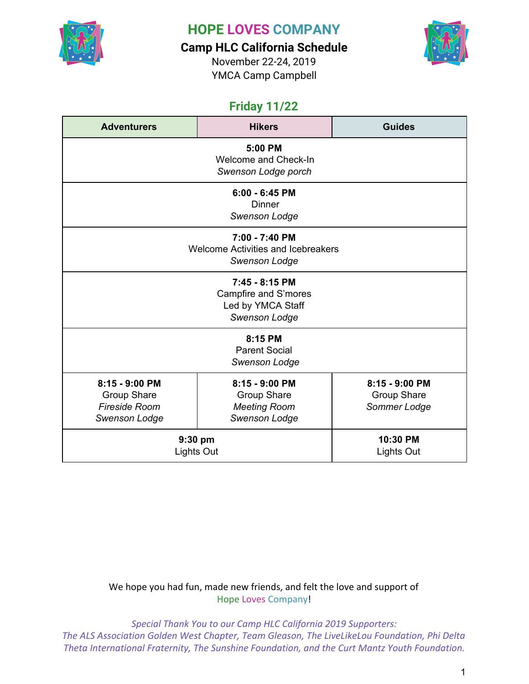

**Camp HLC California Schedule**

November 22-24, 2019 YMCA Camp Campbell



## **Friday 11/22**

| <b>Adventurers</b>                                                                   | <b>Hikers</b>                                                                | <b>Guides</b>                                 |
|--------------------------------------------------------------------------------------|------------------------------------------------------------------------------|-----------------------------------------------|
| 5:00 PM<br>Welcome and Check-In<br>Swenson Lodge porch                               |                                                                              |                                               |
|                                                                                      | $6:00 - 6:45$ PM<br>Dinner<br>Swenson Lodge                                  |                                               |
|                                                                                      | 7:00 - 7:40 PM<br>Welcome Activities and Icebreakers<br><b>Swenson Lodge</b> |                                               |
| 7:45 - 8:15 PM<br>Campfire and S'mores<br>Led by YMCA Staff<br><b>Swenson Lodge</b>  |                                                                              |                                               |
|                                                                                      | 8:15 PM<br><b>Parent Social</b><br><b>Swenson Lodge</b>                      |                                               |
| 8:15 - 9:00 PM<br><b>Group Share</b><br><b>Fireside Room</b><br><b>Swenson Lodge</b> | 8:15 - 9:00 PM<br><b>Group Share</b><br><b>Meeting Room</b><br>Swenson Lodge | 8:15 - 9:00 PM<br>Group Share<br>Sommer Lodge |
|                                                                                      | 9:30 pm<br>Lights Out                                                        | 10:30 PM<br>Lights Out                        |

#### We hope you had fun, made new friends, and felt the love and support of Hope Loves Company!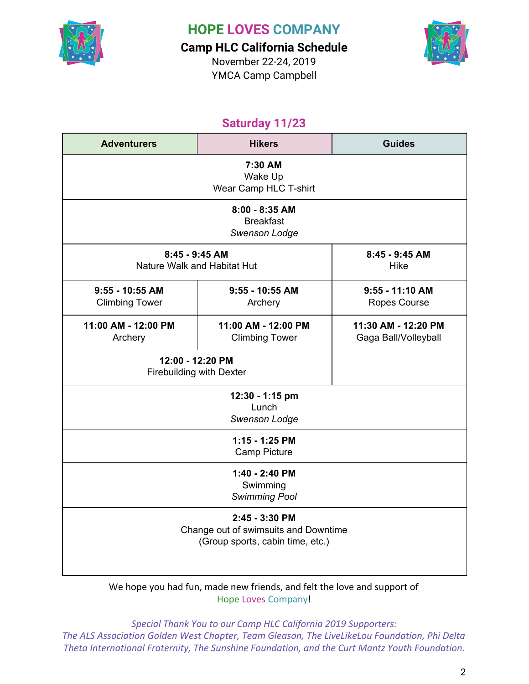

**Camp HLC California Schedule**

November 22-24, 2019 YMCA Camp Campbell



## **Saturday 11/23**

| <b>Adventurers</b>                                  | <b>Hikers</b>                                                                              | <b>Guides</b>                               |  |  |
|-----------------------------------------------------|--------------------------------------------------------------------------------------------|---------------------------------------------|--|--|
| 7:30 AM<br>Wake Up<br>Wear Camp HLC T-shirt         |                                                                                            |                                             |  |  |
|                                                     | $8:00 - 8:35$ AM<br><b>Breakfast</b><br>Swenson Lodge                                      |                                             |  |  |
| 8:45 - 9:45 AM<br>Nature Walk and Habitat Hut       |                                                                                            | 8:45 - 9:45 AM<br><b>Hike</b>               |  |  |
| $9:55 - 10:55$ AM<br><b>Climbing Tower</b>          | $9:55 - 10:55$ AM<br>Archery                                                               | $9:55 - 11:10$ AM<br>Ropes Course           |  |  |
| 11:00 AM - 12:00 PM<br>Archery                      | 11:00 AM - 12:00 PM<br><b>Climbing Tower</b>                                               | 11:30 AM - 12:20 PM<br>Gaga Ball/Volleyball |  |  |
| 12:00 - 12:20 PM<br><b>Firebuilding with Dexter</b> |                                                                                            |                                             |  |  |
|                                                     | 12:30 - 1:15 pm<br>Lunch<br><b>Swenson Lodge</b>                                           |                                             |  |  |
|                                                     | 1:15 - 1:25 PM<br>Camp Picture                                                             |                                             |  |  |
|                                                     | 1:40 - 2:40 PM<br>Swimming<br><b>Swimming Pool</b>                                         |                                             |  |  |
|                                                     | 2:45 - 3:30 PM<br>Change out of swimsuits and Downtime<br>(Group sports, cabin time, etc.) |                                             |  |  |

We hope you had fun, made new friends, and felt the love and support of Hope Loves Company!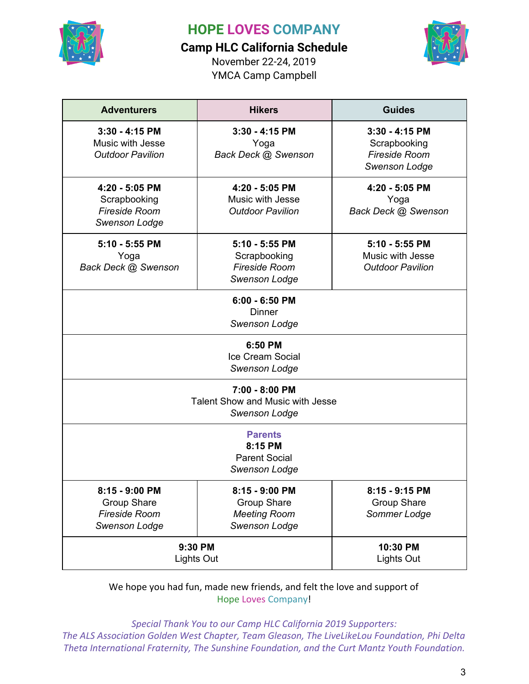

### **Camp HLC California Schedule**

November 22-24, 2019 YMCA Camp Campbell



| <b>Adventurers</b>                                                                   | <b>Hikers</b>                                                                       | <b>Guides</b>                                                                    |  |  |
|--------------------------------------------------------------------------------------|-------------------------------------------------------------------------------------|----------------------------------------------------------------------------------|--|--|
| $3:30 - 4:15$ PM<br>Music with Jesse<br><b>Outdoor Pavilion</b>                      | $3:30 - 4:15$ PM<br>Yoga<br>Back Deck @ Swenson                                     | $3:30 - 4:15$ PM<br>Scrapbooking<br><b>Fireside Room</b><br><b>Swenson Lodge</b> |  |  |
| 4:20 - 5:05 PM<br>Scrapbooking<br><b>Fireside Room</b><br><b>Swenson Lodge</b>       | 4:20 - 5:05 PM<br>Music with Jesse<br><b>Outdoor Pavilion</b>                       | 4:20 - 5:05 PM<br>Yoga<br>Back Deck @ Swenson                                    |  |  |
| 5:10 - 5:55 PM<br>Yoga<br>Back Deck @ Swenson                                        | 5:10 - 5:55 PM<br>Scrapbooking<br><b>Fireside Room</b><br><b>Swenson Lodge</b>      | 5:10 - 5:55 PM<br>Music with Jesse<br><b>Outdoor Pavilion</b>                    |  |  |
| $6:00 - 6:50$ PM<br><b>Dinner</b><br><b>Swenson Lodge</b>                            |                                                                                     |                                                                                  |  |  |
| 6:50 PM<br><b>Ice Cream Social</b><br><b>Swenson Lodge</b>                           |                                                                                     |                                                                                  |  |  |
| 7:00 - 8:00 PM<br><b>Talent Show and Music with Jesse</b><br><b>Swenson Lodge</b>    |                                                                                     |                                                                                  |  |  |
| <b>Parents</b><br>8:15 PM<br><b>Parent Social</b><br>Swenson Lodge                   |                                                                                     |                                                                                  |  |  |
| 8:15 - 9:00 PM<br><b>Group Share</b><br><b>Fireside Room</b><br><b>Swenson Lodge</b> | 8:15 - 9:00 PM<br><b>Group Share</b><br><b>Meeting Room</b><br><b>Swenson Lodge</b> | 8:15 - 9:15 PM<br><b>Group Share</b><br>Sommer Lodge                             |  |  |
| 9:30 PM<br>Lights Out                                                                |                                                                                     | 10:30 PM<br>Lights Out                                                           |  |  |

We hope you had fun, made new friends, and felt the love and support of Hope Loves Company!